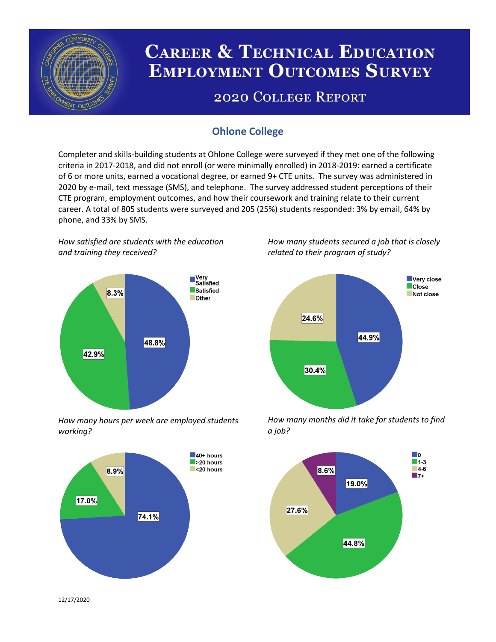

# **CAREER & TECHNICAL EDUCATION EMPLOYMENT OUTCOMES SURVEY**

## **2020 COLLEGE REPORT**

## **Ohlone College**

Completer and skills-building students at Ohlone College were surveyed if they met one of the following criteria in 2017-2018, and did not enroll (or were minimally enrolled) in 2018-2019: earned a certificate of 6 or more units, earned a vocational degree, or earned 9+ CTE units. The survey was administered in 2020 by e-mail, text message (SMS), and telephone. The survey addressed student perceptions of their CTE program, employment outcomes, and how their coursework and training relate to their current career. A total of 805 students were surveyed and 205 (25%) students responded: 3% by email, 64% by phone, and 33% by SMS.

*How satisfied are students with the education and training they received?*



*How many hours per week are employed students working?*



*How many students secured a job that is closely related to their program of study?*



*How many months did it take for students to find a job?*